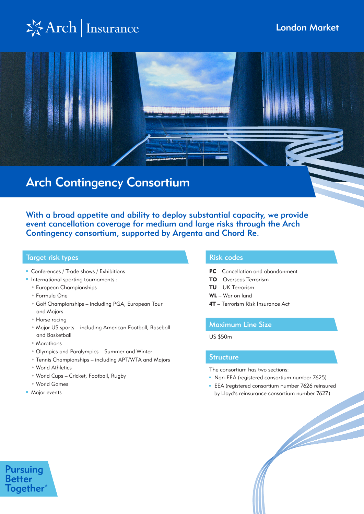# $\frac{1}{2}$ Arch | Insurance



With a broad appetite and ability to deploy substantial capacity, we provide event cancellation coverage for medium and large risks through the Arch Contingency consortium, supported by Argenta and Chord Re.

### Target risk types Risk codes Risk codes Risk codes Risk codes

- Conferences / Trade shows / Exhibitions
- **International sporting tournaments:** 
	- European Championships
	- Formula One
	- Golf Championships including PGA, European Tour and Majors
	- Horse racing
	- Major US sports including American Football, Baseball and Basketball
	- Marathons
	- Olympics and Paralympics Summer and Winter
	- Tennis Championships including APT/WTA and Majors
	- World Athletics
	- World Cups Cricket, Football, Rugby
- World Games
- **Major events**

**Pursuing Better** 

**Together** 

- PC Cancellation and abandonment
- TO Overseas Terrorism
- TU UK Terrorism
- WL War on land
- 4T Terrorism Risk Insurance Act

### Maximum Line Size

US \$50m

### **Structure**

The consortium has two sections:

- Non-EEA (registered consortium number 7625)
- **EEA** (registered consortium number 7626 reinsured by Lloyd's reinsurance consortium number 7627)